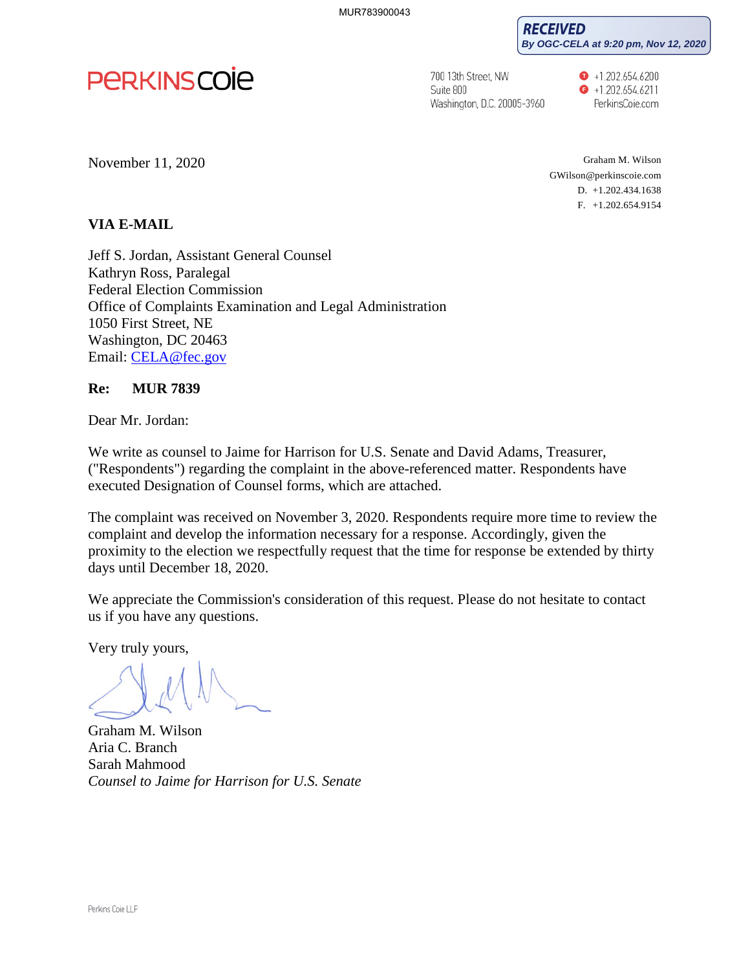**RECEIVED By OGC-CELA at 9:20 pm, Nov 12, 2020**



700 13th Street, NW Suite 800 Washington, D.C. 20005-3960  $\bullet$  +1.202.654.6200  $\bullet$  +1.202.654.6211 PerkinsCoie.com

November 11, 2020

Graham M. Wilson GWilson@perkinscoie.com D. +1.202.434.1638 F. +1.202.654.9154

## **VIA E-MAIL**

Jeff S. Jordan, Assistant General Counsel Kathryn Ross, Paralegal Federal Election Commission Office of Complaints Examination and Legal Administration 1050 First Street, NE Washington, DC 20463 Email: [CELA@fec.gov](mailto:CELA@fec.gov) 

## **Re: MUR 7839**

Dear Mr. Jordan:

We write as counsel to Jaime for Harrison for U.S. Senate and David Adams, Treasurer, ("Respondents") regarding the complaint in the above-referenced matter. Respondents have executed Designation of Counsel forms, which are attached.

The complaint was received on November 3, 2020. Respondents require more time to review the complaint and develop the information necessary for a response. Accordingly, given the proximity to the election we respectfully request that the time for response be extended by thirty days until December 18, 2020.

We appreciate the Commission's consideration of this request. Please do not hesitate to contact us if you have any questions.

Very truly yours,

Graham M. Wilson Aria C. Branch Sarah Mahmood *Counsel to Jaime for Harrison for U.S. Senate*